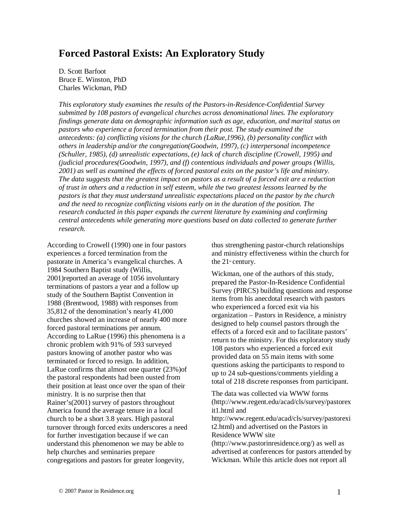# **Forced Pastoral Exists: An Exploratory Study**

D. Scott Barfoot Bruce E. Winston, PhD Charles Wickman, PhD

*This exploratory study examines the results of the Pastors-in-Residence-Confidential Survey submitted by 108 pastors of evangelical churches across denominational lines. The exploratory findings generate data on demographic information such as age, education, and marital status on pastors who experience a forced termination from their post. The study examined the antecedents: (a) conflicting visions for the church (LaRue,1996), (b) personality conflict with others in leadership and/or the congregation(Goodwin, 1997), (c) interpersonal incompetence (Schuller, 1985), (d) unrealistic expectations, (e) lack of church discipline (Crowell, 1995) and (judicial procedures(Goodwin, 1997), and (f) contentious individuals and power groups (Willis, 2001) as well as examined the effects of forced pastoral exits on the pastor's life and ministry. The data suggests that the greatest impact on pastors as a result of a forced exit are a reduction of trust in others and a reduction in self esteem, while the two greatest lessons learned by the pastors is that they must understand unrealistic expectations placed on the pastor by the church and the need to recognize conflicting visions early on in the duration of the position. The research conducted in this paper expands the current literature by examining and confirming central antecedents while generating more questions based on data collected to generate further research.* 

According to Crowell (1990) one in four pastors experiences a forced termination from the pastorate in America's evangelical churches. A 1984 Southern Baptist study (Willis, 2001)reported an average of 1056 involuntary terminations of pastors a year and a follow up study of the Southern Baptist Convention in 1988 (Brentwood, 1988) with responses from 35,812 of the denomination's nearly 41,000 churches showed an increase of nearly 400 more forced pastoral terminations per annum. According to LaRue (1996) this phenomena is a chronic problem with 91% of 593 surveyed pastors knowing of another pastor who was terminated or forced to resign. In addition, LaRue confirms that almost one quarter (23%)of the pastoral respondents had been ousted from their position at least once over the span of their ministry. It is no surprise then that Rainer's(2001) survey of pastors throughout America found the average tenure in a local church to be a short 3.8 years. High pastoral turnover through forced exits underscores a need for further investigation because if we can understand this phenomenon we may be able to help churches and seminaries prepare congregations and pastors for greater longevity,

thus strengthening pastor-church relationships and ministry effectiveness within the church for the  $21$ <sup>st</sup> century.

Wickman, one of the authors of this study, prepared the Pastor-In-Residence Confidential Survey (PIRCS) building questions and response items from his anecdotal research with pastors who experienced a forced exit via his organization – Pastors in Residence, a ministry designed to help counsel pastors through the effects of a forced exit and to facilitate pastors' return to the ministry. For this exploratory study 108 pastors who experienced a forced exit provided data on 55 main items with some questions asking the participants to respond to up to 24 sub-questions/comments yielding a total of 218 discrete responses from participant.

The data was collected via WWW forms (http://www.regent.edu/acad/cls/survey/pastorex it1.html and http://www.regent.edu/acad/cls/survey/pastorexi t2.html) and advertised on the Pastors in Residence WWW site (http://www.pastorinresidence.org/) as well as advertised at conferences for pastors attended by Wickman. While this article does not report all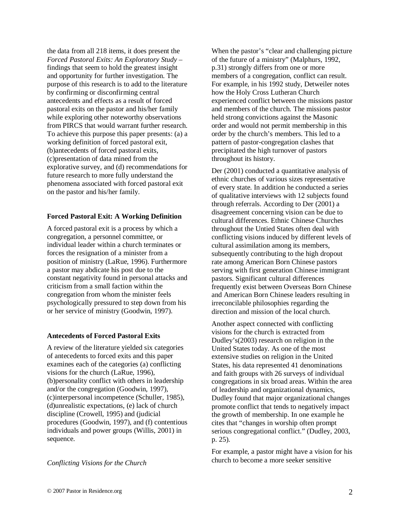the data from all 218 items, it does present the *Forced Pastoral Exits: An Exploratory Study –* findings that seem to hold the greatest insight and opportunity for further investigation. The purpose of this research is to add to the literature by confirming or disconfirming central antecedents and effects as a result of forced pastoral exits on the pastor and his/her family while exploring other noteworthy observations from PIRCS that would warrant further research. To achieve this purpose this paper presents: (a) a working definition of forced pastoral exit, (b)antecedents of forced pastoral exits, (c)presentation of data mined from the explorative survey, and (d) recommendations for future research to more fully understand the phenomena associated with forced pastoral exit on the pastor and his/her family.

# **Forced Pastoral Exit: A Working Definition**

A forced pastoral exit is a process by which a congregation, a personnel committee, or individual leader within a church terminates or forces the resignation of a minister from a position of ministry (LaRue, 1996). Furthermore a pastor may abdicate his post due to the constant negativity found in personal attacks and criticism from a small faction within the congregation from whom the minister feels psychologically pressured to step down from his or her service of ministry (Goodwin, 1997).

# **Antecedents of Forced Pastoral Exits**

A review of the literature yielded six categories of antecedents to forced exits and this paper examines each of the categories (a) conflicting visions for the church (LaRue, 1996), (b)personality conflict with others in leadership and/or the congregation (Goodwin, 1997), (c)interpersonal incompetence (Schuller, 1985), (d)unrealistic expectations, (e) lack of church discipline (Crowell, 1995) and (judicial procedures (Goodwin, 1997), and (f) contentious individuals and power groups (Willis, 2001) in sequence.

*Conflicting Visions for the Church* 

When the pastor's "clear and challenging picture of the future of a ministry" (Malphurs, 1992, p.31) strongly differs from one or more members of a congregation, conflict can result. For example, in his 1992 study, Detweiler notes how the Holy Cross Lutheran Church experienced conflict between the missions pastor and members of the church. The missions pastor held strong convictions against the Masonic order and would not permit membership in this order by the church's members. This led to a pattern of pastor-congregation clashes that precipitated the high turnover of pastors throughout its history.

Der (2001) conducted a quantitative analysis of ethnic churches of various sizes representative of every state. In addition he conducted a series of qualitative interviews with 12 subjects found through referrals. According to Der (2001) a disagreement concerning vision can be due to cultural differences. Ethnic Chinese Churches throughout the Untied States often deal with conflicting visions induced by different levels of cultural assimilation among its members, subsequently contributing to the high dropout rate among American Born Chinese pastors serving with first generation Chinese immigrant pastors. Significant cultural differences frequently exist between Overseas Born Chinese and American Born Chinese leaders resulting in irreconcilable philosophies regarding the direction and mission of the local church.

Another aspect connected with conflicting visions for the church is extracted from Dudley's(2003) research on religion in the United States today. As one of the most extensive studies on religion in the United States, his data represented 41 denominations and faith groups with 26 surveys of individual congregations in six broad areas. Within the area of leadership and organizational dynamics, Dudley found that major organizational changes promote conflict that tends to negatively impact the growth of membership. In one example he cites that "changes in worship often prompt serious congregational conflict." (Dudley, 2003, p. 25).

For example, a pastor might have a vision for his church to become a more seeker sensitive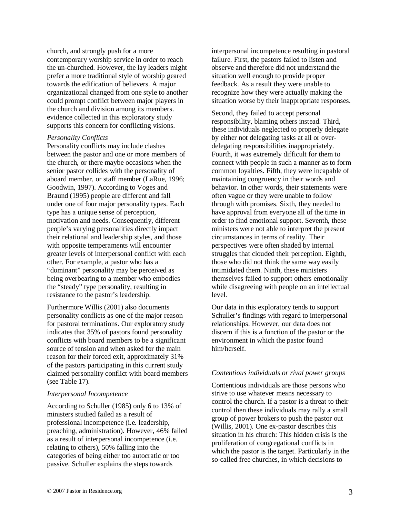church, and strongly push for a more contemporary worship service in order to reach the un-churched. However, the lay leaders might prefer a more traditional style of worship geared towards the edification of believers. A major organizational changed from one style to another could prompt conflict between major players in the church and division among its members. evidence collected in this exploratory study supports this concern for conflicting visions.

#### *Personality Conflicts*

Personality conflicts may include clashes between the pastor and one or more members of the church, or there maybe occasions when the senior pastor collides with the personality of aboard member, or staff member (LaRue, 1996; Goodwin, 1997). According to Voges and Braund (1995) people are different and fall under one of four major personality types. Each type has a unique sense of perception, motivation and needs. Consequently, different people's varying personalities directly impact their relational and leadership styles, and those with opposite temperaments will encounter greater levels of interpersonal conflict with each other. For example, a pastor who has a "dominant" personality may be perceived as being overbearing to a member who embodies the "steady" type personality, resulting in resistance to the pastor's leadership.

Furthermore Willis (2001) also documents personality conflicts as one of the major reason for pastoral terminations. Our exploratory study indicates that 35% of pastors found personality conflicts with board members to be a significant source of tension and when asked for the main reason for their forced exit, approximately 31% of the pastors participating in this current study claimed personality conflict with board members (see Table 17).

#### *Interpersonal Incompetence*

According to Schuller (1985) only 6 to 13% of ministers studied failed as a result of professional incompetence (i.e. leadership, preaching, administration). However, 46% failed as a result of interpersonal incompetence (i.e. relating to others), 50% falling into the categories of being either too autocratic or too passive. Schuller explains the steps towards

interpersonal incompetence resulting in pastoral failure. First, the pastors failed to listen and observe and therefore did not understand the situation well enough to provide proper feedback. As a result they were unable to recognize how they were actually making the situation worse by their inappropriate responses.

Second, they failed to accept personal responsibility, blaming others instead. Third, these individuals neglected to properly delegate by either not delegating tasks at all or overdelegating responsibilities inappropriately. Fourth, it was extremely difficult for them to connect with people in such a manner as to form common loyalties. Fifth, they were incapable of maintaining congruency in their words and behavior. In other words, their statements were often vague or they were unable to follow through with promises. Sixth, they needed to have approval from everyone all of the time in order to find emotional support. Seventh, these ministers were not able to interpret the present circumstances in terms of reality. Their perspectives were often shaded by internal struggles that clouded their perception. Eighth, those who did not think the same way easily intimidated them. Ninth, these ministers themselves failed to support others emotionally while disagreeing with people on an intellectual level.

Our data in this exploratory tends to support Schuller's findings with regard to interpersonal relationships. However, our data does not discern if this is a function of the pastor or the environment in which the pastor found him/herself.

## *Contentious individuals or rival power groups*

Contentious individuals are those persons who strive to use whatever means necessary to control the church. If a pastor is a threat to their control then these individuals may rally a small group of power brokers to push the pastor out (Willis, 2001). One ex-pastor describes this situation in his church: This hidden crisis is the proliferation of congregational conflicts in which the pastor is the target. Particularly in the so-called free churches, in which decisions to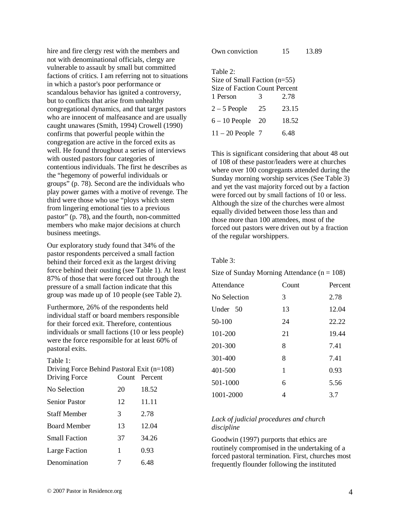hire and fire clergy rest with the members and not with denominational officials, clergy are vulnerable to assault by small but committed factions of critics. I am referring not to situations in which a pastor's poor performance or scandalous behavior has ignited a controversy, but to conflicts that arise from unhealthy congregational dynamics, and that target pastors who are innocent of malfeasance and are usually caught unawares (Smith, 1994) Crowell (1990) confirms that powerful people within the congregation are active in the forced exits as well. He found throughout a series of interviews with ousted pastors four categories of contentious individuals. The first he describes as the "hegemony of powerful individuals or groups" (p. 78). Second are the individuals who play power games with a motive of revenge. The third were those who use "ploys which stem from lingering emotional ties to a previous pastor" (p. 78), and the fourth, non-committed members who make major decisions at church business meetings.

Our exploratory study found that 34% of the pastor respondents perceived a small faction behind their forced exit as the largest driving force behind their ousting (see Table 1). At least 87% of those that were forced out through the pressure of a small faction indicate that this group was made up of 10 people (see Table 2).

Furthermore, 26% of the respondents held individual staff or board members responsible for their forced exit. Therefore, contentious individuals or small factions (10 or less people) were the force responsible for at least 60% of pastoral exits.

| `able |  |
|-------|--|
|       |  |

| Driving Force Behind Pastoral Exit $(n=108)$<br>Driving Force |    | Count Percent |
|---------------------------------------------------------------|----|---------------|
| No Selection                                                  | 20 | 18.52         |
| <b>Senior Pastor</b>                                          | 12 | 11.11         |
| <b>Staff Member</b>                                           | 3  | 2.78          |
| Board Member                                                  | 13 | 12.04         |
| <b>Small Faction</b>                                          | 37 | 34.26         |
| Large Faction                                                 | 1  | 0.93          |
| Denomination                                                  | 7  | 6 48          |

| Own conviction                       |    | 15    | 13.89 |  |
|--------------------------------------|----|-------|-------|--|
|                                      |    |       |       |  |
| Table 2:                             |    |       |       |  |
| Size of Small Faction $(n=55)$       |    |       |       |  |
| <b>Size of Faction Count Percent</b> |    |       |       |  |
| 1 Person                             | 3  | 2.78  |       |  |
| $2-5$ People                         | 25 | 23.15 |       |  |
| $6 - 10$ People                      | 20 | 18.52 |       |  |
| $11 - 20$ People 7                   |    | 6.48  |       |  |

This is significant considering that about 48 out of 108 of these pastor/leaders were at churches where over 100 congregants attended during the Sunday morning worship services (See Table 3) and yet the vast majority forced out by a faction were forced out by small factions of 10 or less. Although the size of the churches were almost equally divided between those less than and those more than 100 attendees, most of the forced out pastors were driven out by a fraction of the regular worshippers.

#### Table 3:

Size of Sunday Morning Attendance  $(n = 108)$ 

| Attendance   | Count | Percent |
|--------------|-------|---------|
| No Selection | 3     | 2.78    |
| Under 50     | 13    | 12.04   |
| 50-100       | 24    | 22.22   |
| 101-200      | 21    | 19.44   |
| 201-300      | 8     | 7.41    |
| 301-400      | 8     | 7.41    |
| 401-500      | 1     | 0.93    |
| 501-1000     | 6     | 5.56    |
| 1001-2000    | 4     | 3.7     |

# *Lack of judicial procedures and church discipline*

Goodwin (1997) purports that ethics are routinely compromised in the undertaking of a forced pastoral termination. First, churches most frequently flounder following the instituted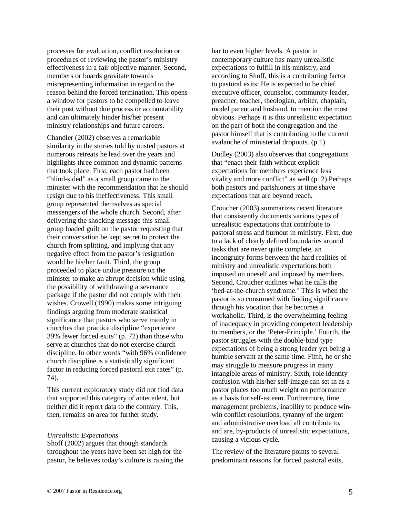processes for evaluation, conflict resolution or procedures of reviewing the pastor's ministry effectiveness in a fair objective manner. Second, members or boards gravitate towards misrepresenting information in regard to the reason behind the forced termination. This opens a window for pastors to be compelled to leave their post without due process or accountability and can ultimately hinder his/her present ministry relationships and future careers.

Chandler (2002) observes a remarkable similarity in the stories told by ousted pastors at numerous retreats he lead over the years and highlights three common and dynamic patterns that took place. First, each pastor had been "blind-sided" as a small group came to the minister with the recommendation that he should resign due to his ineffectiveness. This small group represented themselves as special messengers of the whole church. Second, after delivering the shocking message this small group loaded guilt on the pastor requesting that their conversation be kept secret to protect the church from splitting, and implying that any negative effect from the pastor's resignation would be his/her fault. Third, the group proceeded to place undue pressure on the minister to make an abrupt decision while using the possibility of withdrawing a severance package if the pastor did not comply with their wishes. Crowell (1990) makes some intriguing findings arguing from moderate statistical significance that pastors who serve mainly in churches that practice discipline "experience 39% fewer forced exits" (p. 72) than those who serve at churches that do not exercise church discipline. In other words "with 96% confidence church discipline is a statistically significant factor in reducing forced pastoral exit rates" (p. 74).

This current exploratory study did not find data that supported this category of antecedent, but neither did it report data to the contrary. This, then, remains an area for further study.

#### *Unrealistic Expectations*

Shoff (2002) argues that though standards throughout the years have been set high for the pastor, he believes today's culture is raising the

bar to even higher levels. A pastor in contemporary culture has many unrealistic expectations to fulfill in his ministry, and according to Shoff, this is a contributing factor to pastoral exits: He is expected to be chief executive officer, counselor, community leader, preacher, teacher, theologian, arbiter, chaplain, model parent and husband, to mention the most obvious. Perhaps it is this unrealistic expectation on the part of both the congregation and the pastor himself that is contributing to the current avalanche of ministerial dropouts. (p.1)

Dudley (2003) also observes that congregations that "enact their faith without explicit expectations for members experience less vitality and more conflict" as well (p. 2).Perhaps both pastors and parishioners at time shave expectations that are beyond reach.

Croucher (2003) summarizes recent literature that consistently documents various types of unrealistic expectations that contribute to pastoral stress and burnout in ministry. First, due to a lack of clearly defined boundaries around tasks that are never quite complete, an incongruity forms between the hard realities of ministry and unrealistic expectations both imposed on oneself and imposed by members. Second, Croucher outlines what he calls the 'bed-at-the-church syndrome.' This is when the pastor is so consumed with finding significance through his vocation that he becomes a workaholic. Third, is the overwhelming feeling of inadequacy in providing competent leadership to members, or the 'Peter-Principle.' Fourth, the pastor struggles with the double-bind type expectations of being a strong leader yet being a humble servant at the same time. Fifth, he or she may struggle to measure progress in many intangible areas of ministry. Sixth, role identity confusion with his/her self-image can set in as a pastor places too much weight on performance as a basis for self-esteem. Furthermore, time management problems, inability to produce winwin conflict resolutions, tyranny of the urgent and administrative overload all contribute to, and are, by-products of unrealistic expectations, causing a vicious cycle.

The review of the literature points to several predominant reasons for forced pastoral exits,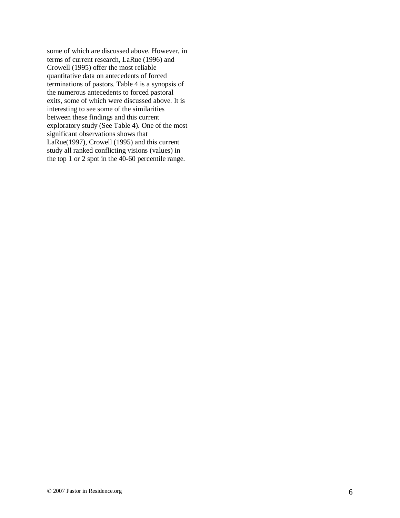some of which are discussed above. However, in terms of current research, LaRue (1996) and Crowell (1995) offer the most reliable quantitative data on antecedents of forced terminations of pastors. Table 4 is a synopsis of the numerous antecedents to forced pastoral exits, some of which were discussed above. It is interesting to see some of the similarities between these findings and this current exploratory study (See Table 4). One of the most significant observations shows that LaRue(1997), Crowell (1995) and this current study all ranked conflicting visions (values) in the top 1 or 2 spot in the 40-60 percentile range.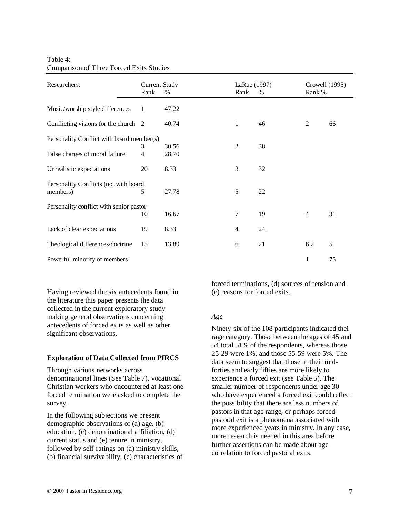| Table 4:                                        |  |
|-------------------------------------------------|--|
| <b>Comparison of Three Forced Exits Studies</b> |  |

| Researchers:                              | <b>Current Study</b><br>Rank | $\%$  | Rank                     | LaRue (1997) | %      | Rank %         | Crowell (1995) |
|-------------------------------------------|------------------------------|-------|--------------------------|--------------|--------|----------------|----------------|
| Music/worship style differences           | 1                            | 47.22 |                          |              |        |                |                |
| Conflicting visions for the church 2      |                              | 40.74 | $\mathbf{1}$             |              | 46     | 2              | 66             |
| Personality Conflict with board member(s) |                              |       |                          |              |        |                |                |
|                                           | 3                            | 30.56 | $\overline{2}$           |              | 38     |                |                |
| False charges of moral failure            | $\overline{4}$               | 28.70 |                          |              |        |                |                |
| Unrealistic expectations                  | 20                           | 8.33  | 3                        |              | 32     |                |                |
| Personality Conflicts (not with board     |                              |       |                          |              |        |                |                |
| members)                                  | 5                            | 27.78 | 5                        |              | $22\,$ |                |                |
| Personality conflict with senior pastor   |                              |       |                          |              |        |                |                |
|                                           | 10                           | 16.67 | 7                        |              | 19     | $\overline{4}$ | 31             |
| Lack of clear expectations                | 19                           | 8.33  | $\overline{\mathcal{L}}$ |              | 24     |                |                |
| Theological differences/doctrine          | 15                           | 13.89 | 6                        |              | 21     | 62             | 5              |
| Powerful minority of members              |                              |       |                          |              |        | $\mathbf{1}$   | 75             |

Having reviewed the six antecedents found in the literature this paper presents the data collected in the current exploratory study making general observations concerning antecedents of forced exits as well as other significant observations.

# **Exploration of Data Collected from PIRCS**

Through various networks across denominational lines (See Table 7), vocational Christian workers who encountered at least one forced termination were asked to complete the survey.

In the following subjections we present demographic observations of (a) age, (b) education, (c) denominational affiliation, (d) current status and (e) tenure in ministry, followed by self-ratings on (a) ministry skills, (b) financial survivability, (c) characteristics of forced terminations, (d) sources of tension and (e) reasons for forced exits.

## *Age*

Ninety-six of the 108 participants indicated thei rage category. Those between the ages of 45 and 54 total 51% of the respondents, whereas those 25-29 were 1%, and those 55-59 were 5%. The data seem to suggest that those in their midforties and early fifties are more likely to experience a forced exit (see Table 5). The smaller number of respondents under age 30 who have experienced a forced exit could reflect the possibility that there are less numbers of pastors in that age range, or perhaps forced pastoral exit is a phenomena associated with more experienced years in ministry. In any case, more research is needed in this area before further assertions can be made about age correlation to forced pastoral exits.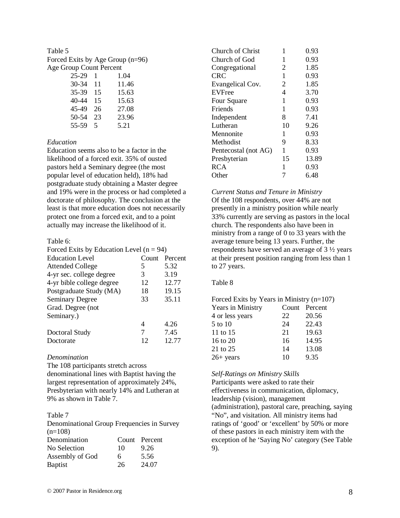# Table 5

Forced Exits by Age Group (n=96) Age Group Count Percent

| 25-29 | 1  | 1.04  |
|-------|----|-------|
| 30-34 | 11 | 11.46 |
| 35-39 | 15 | 15.63 |
| 40-44 | 15 | 15.63 |
| 45-49 | 26 | 27.08 |
| 50-54 | 23 | 23.96 |
| 55-59 | 5. | 5.21  |

## *Education*

Education seems also to be a factor in the likelihood of a forced exit. 35% of ousted pastors held a Seminary degree (the most popular level of education held), 18% had postgraduate study obtaining a Master degree and 19% were in the process or had completed a doctorate of philosophy. The conclusion at the least is that more education does not necessarily protect one from a forced exit, and to a point actually may increase the likelihood of it.

# Table 6:

| Forced Exits by Education Level $(n = 94)$ |       |         |  |  |
|--------------------------------------------|-------|---------|--|--|
| <b>Education Level</b>                     | Count | Percent |  |  |
| <b>Attended College</b>                    | 5     | 5.32    |  |  |
| 4-yr sec. college degree                   | 3     | 3.19    |  |  |
| 4-yr bible college degree                  | 12    | 12.77   |  |  |
| Postgraduate Study (MA)                    | 18    | 19.15   |  |  |
| <b>Seminary Degree</b>                     | 33    | 35.11   |  |  |
| Grad. Degree (not                          |       |         |  |  |
| Seminary.)                                 |       |         |  |  |
|                                            | 4     | 4.26    |  |  |
| Doctoral Study                             | 7     | 7.45    |  |  |
| Doctorate                                  | 12    | 12.77   |  |  |

## *Denomination*

The 108 participants stretch across

denominational lines with Baptist having the largest representation of approximately 24%, Presbyterian with nearly 14% and Lutheran at 9% as shown in Table 7.

## Table 7

Denominational Group Frequencies in Survey  $(n=108)$ 

| Denomination    |    | Count Percent |
|-----------------|----|---------------|
| No Selection    | 10 | 9.26          |
| Assembly of God | 6  | 5.56          |
| <b>Baptist</b>  | 26 | 24.07         |

| Church of Christ     | 1              | 0.93  |
|----------------------|----------------|-------|
| Church of God        | 1              | 0.93  |
| Congregational       | $\overline{2}$ | 1.85  |
| CRC                  | 1              | 0.93  |
| Evangelical Cov.     | $\overline{2}$ | 1.85  |
| <b>EVFree</b>        | 4              | 3.70  |
| Four Square          | 1              | 0.93  |
| Friends              | 1              | 0.93  |
| Independent          | 8              | 7.41  |
| Lutheran             | 10             | 9.26  |
| Mennonite            | 1              | 0.93  |
| Methodist            | 9              | 8.33  |
| Pentecostal (not AG) | 1              | 0.93  |
| Presbyterian         | 15             | 13.89 |
| <b>RCA</b>           | 1              | 0.93  |
| Other                | 7              | 6.48  |
|                      |                |       |

#### *Current Status and Tenure in Ministry*

Of the 108 respondents, over 44% are not presently in a ministry position while nearly 33% currently are serving as pastors in the local church. The respondents also have been in ministry from a range of 0 to 33 years with the average tenure being 13 years. Further, the respondents have served an average of 3 ½ years at their present position ranging from less than 1 to 27 years.

## Table 8

Forced Exits by Years in Ministry (n=107)

| <b>Years in Ministry</b> |    | Count Percent |
|--------------------------|----|---------------|
| 4 or less years          | 22 | 20.56         |
| 5 to 10                  | 24 | 22.43         |
| 11 to 15                 | 21 | 19.63         |
| 16 to 20                 | 16 | 14.95         |
| 21 to 25                 | 14 | 13.08         |
| $26+ years$              | 10 | 9.35          |

# *Self-Ratings on Ministry Skills*

Participants were asked to rate their effectiveness in communication, diplomacy, leadership (vision), management (administration), pastoral care, preaching, saying "No", and visitation. All ministry items had ratings of 'good' or 'excellent' by 50% or more of these pastors in each ministry item with the exception of he 'Saying No' category (See Table 9).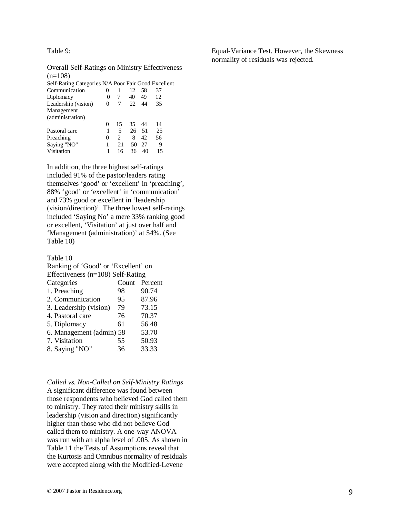Table 9:

Overall Self-Ratings on Ministry Effectiveness  $(n=108)$ 

| Self-Rating Categories N/A Poor Fair Good Excellent |          |    |    |     |    |
|-----------------------------------------------------|----------|----|----|-----|----|
| Communication                                       |          |    | 12 | 58  | 37 |
| Diplomacy                                           | 0        |    | 40 | 49  | 12 |
| Leadership (vision)                                 | 0        |    | 22 | 44  | 35 |
| Management                                          |          |    |    |     |    |
| (administration)                                    |          |    |    |     |    |
|                                                     | 0        | 15 | 35 | 44  | 14 |
| Pastoral care                                       |          | 5  | 26 | -51 | 25 |
| Preaching                                           | $\theta$ | 2  | 8  | 42  | 56 |
| Saying "NO"                                         | 1        | 21 | 50 | 27  | 9  |
| Visitation                                          | 1        | 16 | 36 | 40  | 15 |
|                                                     |          |    |    |     |    |

In addition, the three highest self-ratings included 91% of the pastor/leaders rating themselves 'good' or 'excellent' in 'preaching', 88% 'good' or 'excellent' in 'communication' and 73% good or excellent in 'leadership (vision/direction)'. The three lowest self-ratings included 'Saying No' a mere 33% ranking good or excellent, 'Visitation' at just over half and 'Management (administration)' at 54%. (See Table 10)

Table 10

| Ranking of 'Good' or 'Excellent' on |                                       |         |  |  |  |  |
|-------------------------------------|---------------------------------------|---------|--|--|--|--|
|                                     | Effectiveness ( $n=108$ ) Self-Rating |         |  |  |  |  |
| Categories                          | Count                                 | Percent |  |  |  |  |
| 1. Preaching                        | 98                                    | 90.74   |  |  |  |  |
| 2. Communication                    | 95                                    | 87.96   |  |  |  |  |
| 3. Leadership (vision)              | 79                                    | 73.15   |  |  |  |  |
| 4. Pastoral care                    | 76                                    | 70.37   |  |  |  |  |
| 5. Diplomacy                        | 61                                    | 56.48   |  |  |  |  |
| 6. Management (admin) 58            |                                       | 53.70   |  |  |  |  |
| 7. Visitation                       | 55                                    | 50.93   |  |  |  |  |
| 8. Saying "NO"                      | 36                                    | 33.33   |  |  |  |  |
|                                     |                                       |         |  |  |  |  |

## *Called vs. Non-Called on Self-Ministry Ratings*

A significant difference was found between those respondents who believed God called them to ministry. They rated their ministry skills in leadership (vision and direction) significantly higher than those who did not believe God called them to ministry. A one-way ANOVA was run with an alpha level of .005. As shown in Table 11 the Tests of Assumptions reveal that the Kurtosis and Omnibus normality of residuals were accepted along with the Modified-Levene

Equal-Variance Test. However, the Skewness normality of residuals was rejected.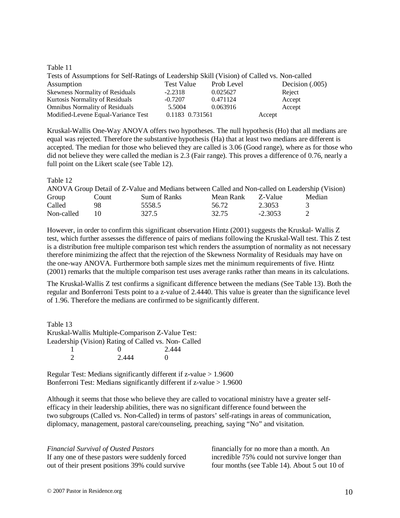#### Table 11

| Tests of Assumptions for Self-Ratings of Leadership Skill (Vision) of Called vs. Non-called |                 |            |                   |
|---------------------------------------------------------------------------------------------|-----------------|------------|-------------------|
| Assumption                                                                                  | Test Value      | Prob Level | Decision $(.005)$ |
| <b>Skewness Normality of Residuals</b>                                                      | $-2.2318$       | 0.025627   | Reject            |
| <b>Kurtosis Normality of Residuals</b>                                                      | $-0.7207$       | 0.471124   | Accept            |
| <b>Omnibus Normality of Residuals</b>                                                       | 5.5004          | 0.063916   | Accept            |
| Modified-Levene Equal-Variance Test                                                         | 0.1183 0.731561 |            | Accept            |

Kruskal-Wallis One-Way ANOVA offers two hypotheses. The null hypothesis (Ho) that all medians are equal was rejected. Therefore the substantive hypothesis (Ha) that at least two medians are different is accepted. The median for those who believed they are called is 3.06 (Good range), where as for those who did not believe they were called the median is 2.3 (Fair range). This proves a difference of 0.76, nearly a full point on the Likert scale (see Table 12).

## Table 12

| ANOVA Group Detail of Z-Value and Medians between Called and Non-called on Leadership (Vision) |       |              |           |           |        |
|------------------------------------------------------------------------------------------------|-------|--------------|-----------|-----------|--------|
| Group                                                                                          | Count | Sum of Ranks | Mean Rank | - Z-Value | Median |
| Called                                                                                         | 98    | 5558.5       | 56.72     | 2.3053    |        |
| Non-called                                                                                     | 10    | 327.5        | 32.75     | $-2.3053$ |        |

However, in order to confirm this significant observation Hintz (2001) suggests the Kruskal- Wallis Z test, which further assesses the difference of pairs of medians following the Kruskal-Wall test. This Z test is a distribution free multiple comparison test which renders the assumption of normality as not necessary therefore minimizing the affect that the rejection of the Skewness Normality of Residuals may have on the one-way ANOVA. Furthermore both sample sizes met the minimum requirements of five. Hintz (2001) remarks that the multiple comparison test uses average ranks rather than means in its calculations.

The Kruskal-Wallis Z test confirms a significant difference between the medians (See Table 13). Both the regular and Bonferroni Tests point to a z-value of 2.4440. This value is greater than the significance level of 1.96. Therefore the medians are confirmed to be significantly different.

Table 13 Kruskal-Wallis Multiple-Comparison Z-Value Test: Leadership (Vision) Rating of Called vs. Non- Called  $\begin{array}{ccc} 1 & 0 & 2.444 \\ 2 & 2.444 & 0 \end{array}$ 2 2.444 0

Regular Test: Medians significantly different if z-value > 1.9600 Bonferroni Test: Medians significantly different if z-value > 1.9600

Although it seems that those who believe they are called to vocational ministry have a greater selfefficacy in their leadership abilities, there was no significant difference found between the two subgroups (Called vs. Non-Called) in terms of pastors' self-ratings in areas of communication, diplomacy, management, pastoral care/counseling, preaching, saying "No" and visitation.

*Financial Survival of Ousted Pastors*  If any one of these pastors were suddenly forced out of their present positions 39% could survive

financially for no more than a month. An incredible 75% could not survive longer than four months (see Table 14). About 5 out 10 of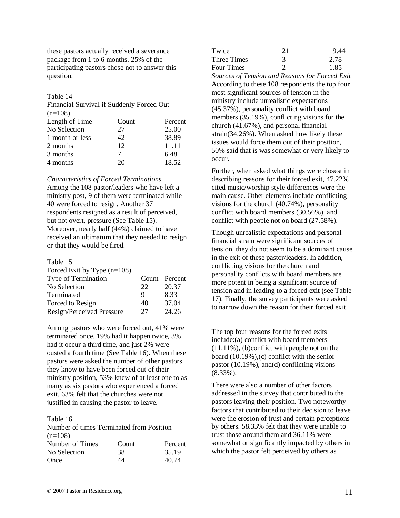these pastors actually received a severance package from 1 to 6 months. 25% of the participating pastors chose not to answer this question.

## Table 14

Financial Survival if Suddenly Forced Out  $(n=108)$ 

| Length of Time  | Count | Percent |
|-----------------|-------|---------|
| No Selection    | 27    | 25.00   |
| 1 month or less | 42    | 38.89   |
| 2 months        | 12    | 11.11   |
| 3 months        |       | 6.48    |
| 4 months        | 20    | 18.52   |

#### *Characteristics of Forced Terminations*

Among the 108 pastor/leaders who have left a ministry post, 9 of them were terminated while 40 were forced to resign. Another 37 respondents resigned as a result of perceived, but not overt, pressure (See Table 15). Moreover, nearly half (44%) claimed to have received an ultimatum that they needed to resign or that they would be fired.

#### Table 15

| Forced Exit by Type $(n=108)$ |    |               |
|-------------------------------|----|---------------|
| Type of Termination           |    | Count Percent |
| No Selection                  | 22 | 20.37         |
| Terminated                    | 9  | 8.33          |
| Forced to Resign              | 40 | 37.04         |
| Resign/Perceived Pressure     | 27 | 24.26         |

Among pastors who were forced out, 41% were terminated once. 19% had it happen twice, 3% had it occur a third time, and just 2% were ousted a fourth time (See Table 16). When these pastors were asked the number of other pastors they know to have been forced out of their ministry position, 53% knew of at least one to as many as six pastors who experienced a forced exit. 63% felt that the churches were not justified in causing the pastor to leave.

#### Table 16

Number of times Terminated from Position  $(n=108)$ 

| Number of Times | Count | Percent |
|-----------------|-------|---------|
| No Selection    | 38    | 35.19   |
| Once            | 44    | 40.74   |

| Twice             | 21 | 19.44 |
|-------------------|----|-------|
| Three Times       |    | 2.78  |
| <b>Four Times</b> |    | 1.85  |

*Sources of Tension and Reasons for Forced Exit*  According to these 108 respondents the top four most significant sources of tension in the ministry include unrealistic expectations (45.37%), personality conflict with board members (35.19%), conflicting visions for the church (41.67%), and personal financial strain(34.26%). When asked how likely these issues would force them out of their position, 50% said that is was somewhat or very likely to occur.

Further, when asked what things were closest in describing reasons for their forced exit, 47.22% cited music/worship style differences were the main cause. Other elements include conflicting visions for the church (40.74%), personality conflict with board members (30.56%), and conflict with people not on board (27.58%).

Though unrealistic expectations and personal financial strain were significant sources of tension, they do not seem to be a dominant cause in the exit of these pastor/leaders. In addition, conflicting visions for the church and personality conflicts with board members are more potent in being a significant source of tension and in leading to a forced exit (see Table 17). Finally, the survey participants were asked to narrow down the reason for their forced exit.

The top four reasons for the forced exits include:(a) conflict with board members (11.11%), (b)conflict with people not on the board (10.19%),(c) conflict with the senior pastor (10.19%), and(d) conflicting visions (8.33%).

There were also a number of other factors addressed in the survey that contributed to the pastors leaving their position. Two noteworthy factors that contributed to their decision to leave were the erosion of trust and certain perceptions by others. 58.33% felt that they were unable to trust those around them and 36.11% were somewhat or significantly impacted by others in which the pastor felt perceived by others as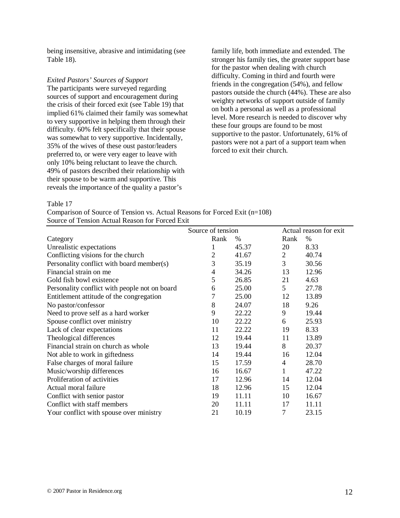being insensitive, abrasive and intimidating (see Table 18).

## *Exited Pastors' Sources of Support*

The participants were surveyed regarding sources of support and encouragement during the crisis of their forced exit (see Table 19) that implied 61% claimed their family was somewhat to very supportive in helping them through their difficulty. 60% felt specifically that their spouse was somewhat to very supportive. Incidentally, 35% of the wives of these oust pastor/leaders preferred to, or were very eager to leave with only 10% being reluctant to leave the church. 49% of pastors described their relationship with their spouse to be warm and supportive. This reveals the importance of the quality a pastor's

family life, both immediate and extended. The stronger his family ties, the greater support base for the pastor when dealing with church difficulty. Coming in third and fourth were friends in the congregation (54%), and fellow pastors outside the church (44%). These are also weighty networks of support outside of family on both a personal as well as a professional level. More research is needed to discover why these four groups are found to be most supportive to the pastor. Unfortunately, 61% of pastors were not a part of a support team when forced to exit their church.

Table 17

Comparison of Source of Tension vs. Actual Reasons for Forced Exit (n=108) Source of Tension Actual Reason for Forced Exit

|                                               | Source of tension |       | Actual reason for exit |       |
|-----------------------------------------------|-------------------|-------|------------------------|-------|
| Category                                      | Rank              | %     | Rank                   | %     |
| Unrealistic expectations                      |                   | 45.37 | 20                     | 8.33  |
| Conflicting visions for the church            | 2                 | 41.67 | $\overline{2}$         | 40.74 |
| Personality conflict with board member(s)     | 3                 | 35.19 | 3                      | 30.56 |
| Financial strain on me                        | 4                 | 34.26 | 13                     | 12.96 |
| Gold fish bowl existence                      | 5                 | 26.85 | 21                     | 4.63  |
| Personality conflict with people not on board | 6                 | 25.00 | 5                      | 27.78 |
| Entitlement attitude of the congregation      | 7                 | 25.00 | 12                     | 13.89 |
| No pastor/confessor                           | 8                 | 24.07 | 18                     | 9.26  |
| Need to prove self as a hard worker           | 9                 | 22.22 | 9                      | 19.44 |
| Spouse conflict over ministry                 | 10                | 22.22 | 6                      | 25.93 |
| Lack of clear expectations                    | 11                | 22.22 | 19                     | 8.33  |
| Theological differences                       | 12                | 19.44 | 11                     | 13.89 |
| Financial strain on church as whole           | 13                | 19.44 | 8                      | 20.37 |
| Not able to work in giftedness                | 14                | 19.44 | 16                     | 12.04 |
| False charges of moral failure                | 15                | 17.59 | 4                      | 28.70 |
| Music/worship differences                     | 16                | 16.67 | 1                      | 47.22 |
| Proliferation of activities                   | 17                | 12.96 | 14                     | 12.04 |
| Actual moral failure                          | 18                | 12.96 | 15                     | 12.04 |
| Conflict with senior pastor                   | 19                | 11.11 | 10                     | 16.67 |
| Conflict with staff members                   | 20                | 11.11 | 17                     | 11.11 |
| Your conflict with spouse over ministry       | 21                | 10.19 | 7                      | 23.15 |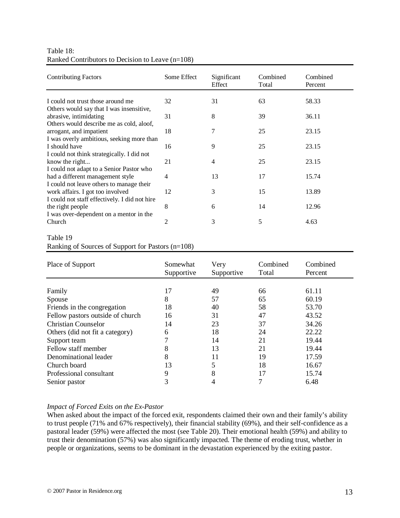| Table 18:                                          |  |
|----------------------------------------------------|--|
| Ranked Contributors to Decision to Leave $(n=108)$ |  |

| <b>Contributing Factors</b>                   | Some Effect    | Significant<br>Effect | Combined<br>Total | Combined<br>Percent |
|-----------------------------------------------|----------------|-----------------------|-------------------|---------------------|
|                                               |                |                       |                   |                     |
| I could not trust those around me             | 32             | 31                    | 63                | 58.33               |
| Others would say that I was insensitive,      |                |                       |                   |                     |
| abrasive, intimidating                        | 31             | 8                     | 39                | 36.11               |
| Others would describe me as cold, aloof,      |                |                       |                   |                     |
| arrogant, and impatient                       | 18             | 7                     | 25                | 23.15               |
| I was overly ambitious, seeking more than     |                |                       |                   |                     |
| I should have                                 | 16             | 9                     | 25                | 23.15               |
| I could not think strategically. I did not    |                |                       |                   |                     |
| know the right                                | 21             | 4                     | 25                | 23.15               |
| I could not adapt to a Senior Pastor who      |                |                       |                   |                     |
| had a different management style              | $\overline{4}$ | 13                    | 17                | 15.74               |
| I could not leave others to manage their      |                |                       |                   |                     |
| work affairs. I got too involved              | 12             | 3                     | 15                | 13.89               |
| I could not staff effectively. I did not hire |                |                       |                   |                     |
| the right people                              | 8              | 6                     | 14                | 12.96               |
| I was over-dependent on a mentor in the       |                |                       |                   |                     |
| Church                                        | 2              | 3                     | 5                 | 4.63                |
| $-11.10$                                      |                |                       |                   |                     |

## Table 19

Ranking of Sources of Support for Pastors (n=108)

| Place of Support                 | Somewhat<br>Supportive | Very<br>Supportive | Combined<br>Total | Combined<br>Percent |
|----------------------------------|------------------------|--------------------|-------------------|---------------------|
| Family                           | 17                     | 49                 | 66                | 61.11               |
| Spouse                           | 8                      | 57                 | 65                | 60.19               |
| Friends in the congregation      | 18                     | 40                 | 58                | 53.70               |
| Fellow pastors outside of church | 16                     | 31                 | 47                | 43.52               |
| <b>Christian Counselor</b>       | 14                     | 23                 | 37                | 34.26               |
| Others (did not fit a category)  | 6                      | 18                 | 24                | 22.22               |
| Support team                     |                        | 14                 | 21                | 19.44               |
| Fellow staff member              | 8                      | 13                 | 21                | 19.44               |
| Denominational leader            | 8                      | 11                 | 19                | 17.59               |
| Church board                     | 13                     | 5                  | 18                | 16.67               |
| Professional consultant          | 9                      | 8                  | 17                | 15.74               |
| Senior pastor                    | 3                      | 4                  | 7                 | 6.48                |

# *Impact of Forced Exits on the Ex-Pastor*

When asked about the impact of the forced exit, respondents claimed their own and their family's ability to trust people (71% and 67% respectively), their financial stability (69%), and their self-confidence as a pastoral leader (59%) were affected the most (see Table 20). Their emotional health (59%) and ability to trust their denomination (57%) was also significantly impacted. The theme of eroding trust, whether in people or organizations, seems to be dominant in the devastation experienced by the exiting pastor.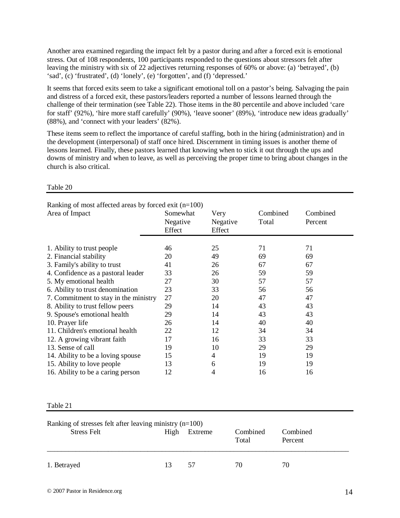Another area examined regarding the impact felt by a pastor during and after a forced exit is emotional stress. Out of 108 respondents, 100 participants responded to the questions about stressors felt after leaving the ministry with six of 22 adjectives returning responses of 60% or above: (a) 'betrayed', (b) 'sad', (c) 'frustrated', (d) 'lonely', (e) 'forgotten', and (f) 'depressed.'

It seems that forced exits seem to take a significant emotional toll on a pastor's being. Salvaging the pain and distress of a forced exit, these pastors/leaders reported a number of lessons learned through the challenge of their termination (see Table 22). Those items in the 80 percentile and above included 'care for staff' (92%), 'hire more staff carefully' (90%), 'leave sooner' (89%), 'introduce new ideas gradually' (88%), and 'connect with your leaders' (82%).

These items seem to reflect the importance of careful staffing, both in the hiring (administration) and in the development (interpersonal) of staff once hired. Discernment in timing issues is another theme of lessons learned. Finally, these pastors learned that knowing when to stick it out through the ups and downs of ministry and when to leave, as well as perceiving the proper time to bring about changes in the church is also critical.

| Ranking of most affected areas by forced exit $(n=100)$ |          |          |          |          |  |
|---------------------------------------------------------|----------|----------|----------|----------|--|
| Area of Impact                                          | Somewhat | Very     | Combined | Combined |  |
|                                                         | Negative | Negative | Total    | Percent  |  |
|                                                         | Effect   | Effect   |          |          |  |
|                                                         |          |          |          |          |  |
| 1. Ability to trust people                              | 46       | 25       | 71       | 71       |  |
| 2. Financial stability                                  | 20       | 49       | 69       | 69       |  |
| 3. Family's ability to trust                            | 41       | 26       | 67       | 67       |  |
| 4. Confidence as a pastoral leader                      | 33       | 26       | 59       | 59       |  |
| 5. My emotional health                                  | 27       | 30       | 57       | 57       |  |
| 6. Ability to trust denomination                        | 23       | 33       | 56       | 56       |  |
| 7. Commitment to stay in the ministry                   | 27       | 20       | 47       | 47       |  |
| 8. Ability to trust fellow peers                        | 29       | 14       | 43       | 43       |  |
| 9. Spouse's emotional health                            | 29       | 14       | 43       | 43       |  |
| 10. Prayer life                                         | 26       | 14       | 40       | 40       |  |
| 11. Children's emotional health                         | 22       | 12       | 34       | 34       |  |
| 12. A growing vibrant faith                             | 17       | 16       | 33       | 33       |  |
| 13. Sense of call                                       | 19       | 10       | 29       | 29       |  |
| 14. Ability to be a loving spouse                       | 15       | 4        | 19       | 19       |  |
| 15. Ability to love people                              | 13       | 6        | 19       | 19       |  |
| 16. Ability to be a caring person                       | 12       | 4        | 16       | 16       |  |

Table 20

Table 21

| Ranking of stresses felt after leaving ministry $(n=100)$ |      |         |                   |                     |  |  |  |  |
|-----------------------------------------------------------|------|---------|-------------------|---------------------|--|--|--|--|
| <b>Stress Felt</b>                                        | High | Extreme | Combined<br>Total | Combined<br>Percent |  |  |  |  |
| 1. Betrayed                                               | 13   | 57      | 70                | 70                  |  |  |  |  |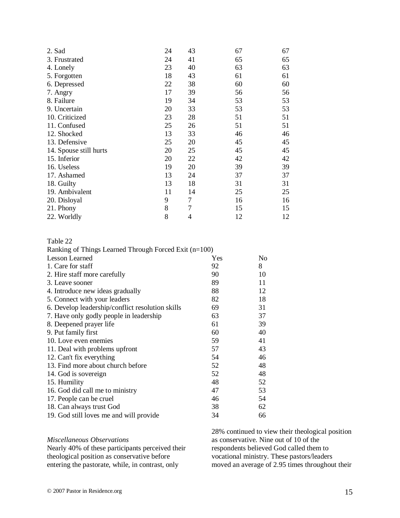| 2. Sad                 | 24 | 43 | 67 | 67 |
|------------------------|----|----|----|----|
| 3. Frustrated          | 24 | 41 | 65 | 65 |
| 4. Lonely              | 23 | 40 | 63 | 63 |
| 5. Forgotten           | 18 | 43 | 61 | 61 |
| 6. Depressed           | 22 | 38 | 60 | 60 |
| 7. Angry               | 17 | 39 | 56 | 56 |
| 8. Failure             | 19 | 34 | 53 | 53 |
| 9. Uncertain           | 20 | 33 | 53 | 53 |
| 10. Criticized         | 23 | 28 | 51 | 51 |
| 11. Confused           | 25 | 26 | 51 | 51 |
| 12. Shocked            | 13 | 33 | 46 | 46 |
| 13. Defensive          | 25 | 20 | 45 | 45 |
| 14. Spouse still hurts | 20 | 25 | 45 | 45 |
| 15. Inferior           | 20 | 22 | 42 | 42 |
| 16. Useless            | 19 | 20 | 39 | 39 |
| 17. Ashamed            | 13 | 24 | 37 | 37 |
| 18. Guilty             | 13 | 18 | 31 | 31 |
| 19. Ambivalent         | 11 | 14 | 25 | 25 |
| 20. Disloyal           | 9  | 7  | 16 | 16 |
| 21. Phony              | 8  | 7  | 15 | 15 |
| 22. Worldly            | 8  | 4  | 12 | 12 |

| Table 22                                              |     |    |
|-------------------------------------------------------|-----|----|
| Ranking of Things Learned Through Forced Exit (n=100) |     |    |
| <b>Lesson Learned</b>                                 | Yes | No |
| 1. Care for staff                                     | 92  | 8  |
| 2. Hire staff more carefully                          | 90  | 10 |
| 3. Leave sooner                                       | 89  | 11 |
| 4. Introduce new ideas gradually                      | 88  | 12 |
| 5. Connect with your leaders                          | 82  | 18 |
| 6. Develop leadership/conflict resolution skills      | 69  | 31 |
| 7. Have only godly people in leadership               | 63  | 37 |
| 8. Deepened prayer life                               | 61  | 39 |
| 9. Put family first                                   | 60  | 40 |
| 10. Love even enemies                                 | 59  | 41 |
| 11. Deal with problems upfront                        | 57  | 43 |
| 12. Can't fix everything                              | 54  | 46 |
| 13. Find more about church before                     | 52  | 48 |
| 14. God is sovereign                                  | 52  | 48 |
| 15. Humility                                          | 48  | 52 |
| 16. God did call me to ministry                       | 47  | 53 |
| 17. People can be cruel                               | 46  | 54 |
| 18. Can always trust God                              | 38  | 62 |
| 19. God still loves me and will provide               | 34  | 66 |

## *Miscellaneous Observations*

Nearly 40% of these participants perceived their theological position as conservative before entering the pastorate, while, in contrast, only

28% continued to view their theological position as conservative. Nine out of 10 of the respondents believed God called them to vocational ministry. These pastors/leaders moved an average of 2.95 times throughout their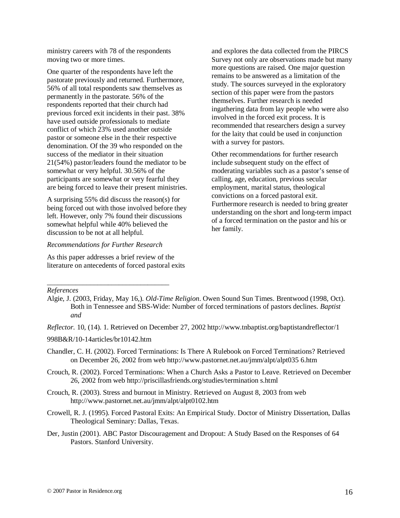ministry careers with 78 of the respondents moving two or more times.

One quarter of the respondents have left the pastorate previously and returned. Furthermore, 56% of all total respondents saw themselves as permanently in the pastorate. 56% of the respondents reported that their church had previous forced exit incidents in their past. 38% have used outside professionals to mediate conflict of which 23% used another outside pastor or someone else in the their respective denomination. Of the 39 who responded on the success of the mediator in their situation 21(54%) pastor/leaders found the mediator to be somewhat or very helpful. 30.56% of the participants are somewhat or very fearful they are being forced to leave their present ministries.

A surprising 55% did discuss the reason(s) for being forced out with those involved before they left. However, only 7% found their discussions somewhat helpful while 40% believed the discussion to be not at all helpful.

#### *Recommendations for Further Research*

As this paper addresses a brief review of the literature on antecedents of forced pastoral exits

and explores the data collected from the PIRCS Survey not only are observations made but many more questions are raised. One major question remains to be answered as a limitation of the study. The sources surveyed in the exploratory section of this paper were from the pastors themselves. Further research is needed ingathering data from lay people who were also involved in the forced exit process. It is recommended that researchers design a survey for the laity that could be used in conjunction with a survey for pastors.

Other recommendations for further research include subsequent study on the effect of moderating variables such as a pastor's sense of calling, age, education, previous secular employment, marital status, theological convictions on a forced pastoral exit. Furthermore research is needed to bring greater understanding on the short and long-term impact of a forced termination on the pastor and his or her family.

*\_\_\_\_\_\_\_\_\_\_\_\_\_\_\_\_\_\_\_\_\_\_\_\_\_\_\_\_\_\_\_\_\_\_ References* 

*Reflector.* 10, (14). 1. Retrieved on December 27, 2002 http://www.tnbaptist.org/baptistandreflector/1

998B&R/10-14articles/br10142.htm

- Chandler, C. H. (2002). Forced Terminations: Is There A Rulebook on Forced Terminations? Retrieved on December 26, 2002 from web http://www.pastornet.net.au/jmm/alpt/alpt035 6.htm
- Crouch, R. (2002). Forced Terminations: When a Church Asks a Pastor to Leave. Retrieved on December 26, 2002 from web http://priscillasfriends.org/studies/termination s.html
- Crouch, R. (2003). Stress and burnout in Ministry. Retrieved on August 8, 2003 from web http://www.pastornet.net.au/jmm/alpt/alpt0102.htm
- Crowell, R. J. (1995). Forced Pastoral Exits: An Empirical Study. Doctor of Ministry Dissertation, Dallas Theological Seminary: Dallas, Texas.
- Der, Justin (2001). ABC Pastor Discouragement and Dropout: A Study Based on the Responses of 64 Pastors. Stanford University.

Algie, J. (2003, Friday, May 16,). *Old-Time Religion*. Owen Sound Sun Times. Brentwood (1998, Oct). Both in Tennessee and SBS-Wide: Number of forced terminations of pastors declines. *Baptist and*